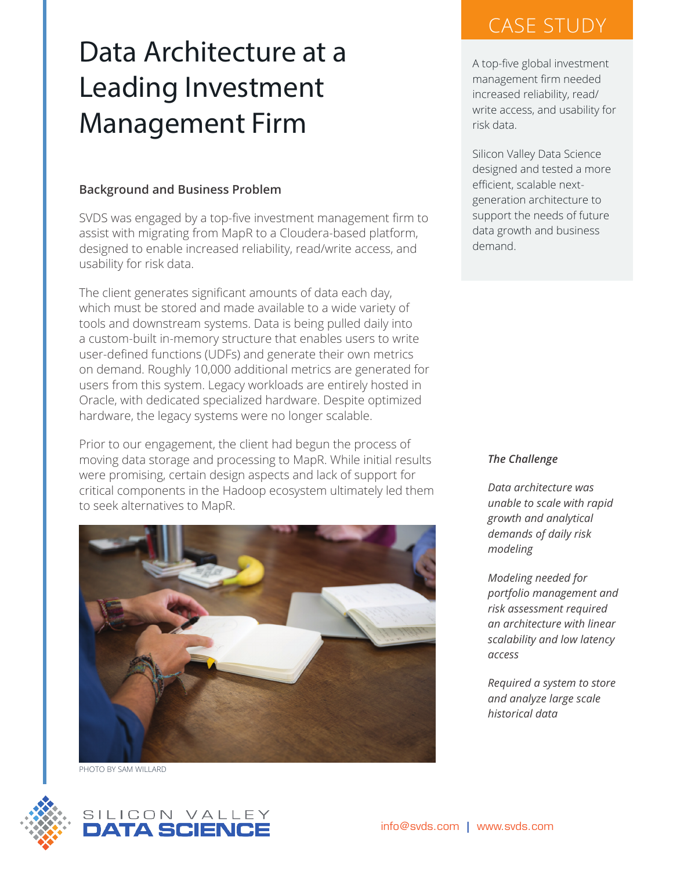# Data Architecture at a Leading Investment Management Firm

## **Background and Business Problem**

SVDS was engaged by a top-five investment management firm to assist with migrating from MapR to a Cloudera-based platform, designed to enable increased reliability, read/write access, and usability for risk data.

The client generates significant amounts of data each day, which must be stored and made available to a wide variety of tools and downstream systems. Data is being pulled daily into a custom-built in-memory structure that enables users to write user-defined functions (UDFs) and generate their own metrics on demand. Roughly 10,000 additional metrics are generated for users from this system. Legacy workloads are entirely hosted in Oracle, with dedicated specialized hardware. Despite optimized hardware, the legacy systems were no longer scalable.

Prior to our engagement, the client had begun the process of moving data storage and processing to MapR. While initial results were promising, certain design aspects and lack of support for critical components in the Hadoop ecosystem ultimately led them to seek alternatives to MapR.



PHOTO BY SAM WILLARD



A top-five global investment management firm needed increased reliability, read/ write access, and usability for risk data.

Silicon Valley Data Science designed and tested a more efficient, scalable nextgeneration architecture to support the needs of future data growth and business demand.

*The Challenge*

*Data architecture was unable to scale with rapid growth and analytical demands of daily risk modeling* 

*Modeling needed for portfolio management and risk assessment required an architecture with linear scalability and low latency access*

*Required a system to store and analyze large scale historical data*